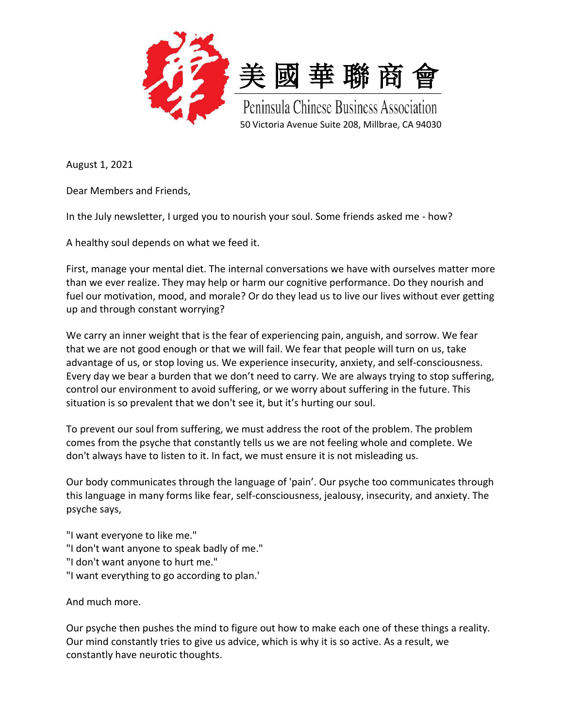



Peninsula Chinese Business Association 50 Victoria Avenue Suite 208, Millbrae, CA 94030

August 1, 2021

Dear Members and Friends,

In the July newsletter, I urged you to nourish your soul. Some friends asked me - how?

A healthy soul depends on what we feed it.

First, manage your mental diet. The internal conversations we have with ourselves matter more than we ever realize. They may help or harm our cognitive performance. Do they nourish and fuel our motivation, mood, and morale? Or do they lead us to live our lives without ever getting up and through constant worrying?

We carry an inner weight that is the fear of experiencing pain, anguish, and sorrow. We fear that we are not good enough or that we will fail. We fear that people will turn on us, take advantage of us, or stop loving us. We experience insecurity, anxiety, and self-consciousness. Every day we bear a burden that we don't need to carry. We are always trying to stop suffering, control our environment to avoid suffering, or we worry about suffering in the future. This situation is so prevalent that we don't see it, but it's hurting our soul.

To prevent our soul from suffering, we must address the root of the problem. The problem comes from the psyche that constantly tells us we are not feeling whole and complete. We don't always have to listen to it. In fact, we must ensure it is not misleading us.

Our body communicates through the language of 'pain'. Our psyche too communicates through this language in many forms like fear, self-consciousness, jealousy, insecurity, and anxiety. The psyche says,

"I want everyone to like me."

- "I don't want anyone to speak badly of me."
- "I don't want anyone to hurt me."
- "I want everything to go according to plan.'

And much more.

Our psyche then pushes the mind to figure out how to make each one of these things a reality. Our mind constantly tries to give us advice, which is why it is so active. As a result, we constantly have neurotic thoughts.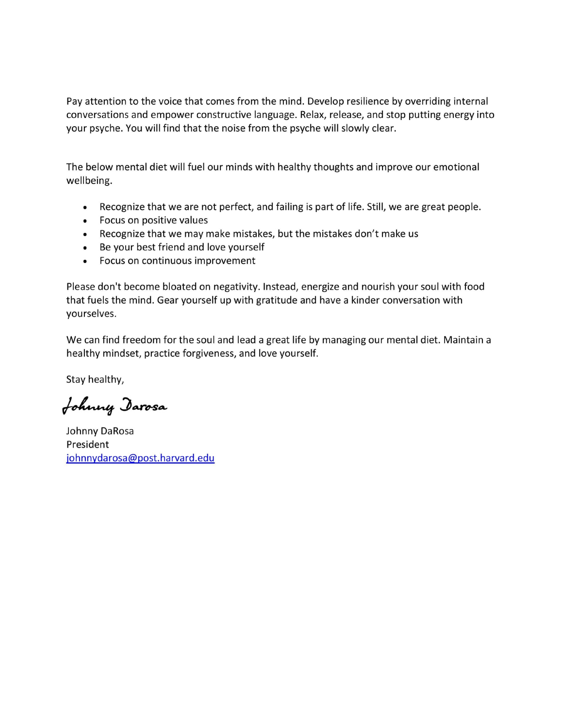Pay attention to the voice that comes from the mind. Develop resilience by overriding internal conversations and empower constructive language. Relax, release, and stop putting energy into your psyche. You will find that the noise from the psyche will slowly clear.

The below mental diet will fuel our minds with healthy thoughts and improve our emotional wellbeing.

- Recognize that we are not perfect, and failing is part of life. Still, we are great people.  $\bullet$
- Focus on positive values
- Recognize that we may make mistakes, but the mistakes don't make us
- Be your best friend and love yourself
- Focus on continuous improvement

Please don't become bloated on negativity. Instead, energize and nourish your soul with food that fuels the mind. Gear yourself up with gratitude and have a kinder conversation with yourselves.

We can find freedom for the soul and lead a great life by managing our mental diet. Maintain a healthy mindset, practice forgiveness, and love yourself.

Stay healthy,

Johnny Darosa

Johnny DaRosa President johnnydarosa@post.harvard.edu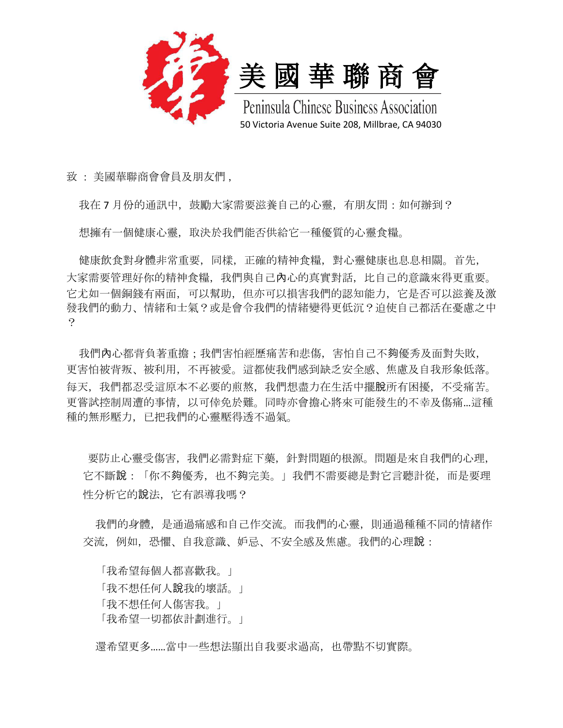



Peninsula Chinese Business Association 50 Victoria Avenue Suite 208, Millbrae, CA 94030

致 : 美國華聯商會會員及朋友們 ,

我在 7 月份的通訊中, 鼓勵大家需要滋養自己的心靈, 有朋友問: 如何辦到?

想擁有一個健康心靈,取決於我們能否供給它一種優質的心靈食糧。

 健康飲食對身體非常重要,同樣,正確的精神食糧,對心靈健康也息息相關。首先, 大家需要管理好你的精神食糧,我們與自己內心的真實對話,比自己的意識來得更重要。 它尤如一個銅錢有兩面,可以幫助,但亦可以損害我們的認知能力,它是否可以滋養及激 發我們的動力、情緒和士氣?或是會令我們的情緒變得更低沉?迫使自己都活在憂慮之中 ?

我們內心都背負著重擔;我們害怕經歷痛苦和悲傷,害怕自己不夠優秀及面對失敗, 更害怕被背叛、被利用,不再被愛。這都使我們感到缺乏安全感、焦慮及自我形象低落。 每天,我們都忍受這原本不必要的煎熬,我們想盡力在生活中擺脫所有困擾,不受痛苦。 更嘗試控制周遭的事情,以可倖免於難。同時亦會擔心將來可能發生的不幸及傷痛…這種 種的無形壓力,已把我們的心靈壓得透不過氣。

 要防止心靈受傷害,我們必需對症下藥,針對問題的根源。問題是來自我們的心理, 它不斷說:「你不夠優秀,也不夠完美。」我們不需要總是對它言聽計從,而是要理 性分析它的說法,它有誤導我嗎?

我們的身體,是通過痛感和自己作交流。而我們的心靈,則通過種種不同的情緒作 交流,例如,恐懼、自我意識、妒忌、不安全感及焦慮。我們的心理說:

 「我希望每個人都喜歡我。」 「我不想任何人說我的壞話。」 「我不想任何人傷害我。」 「我希望一切都依計劃進行。」

還希望更多……當中一些想法顯出自我要求過高,也帶點不切實際。